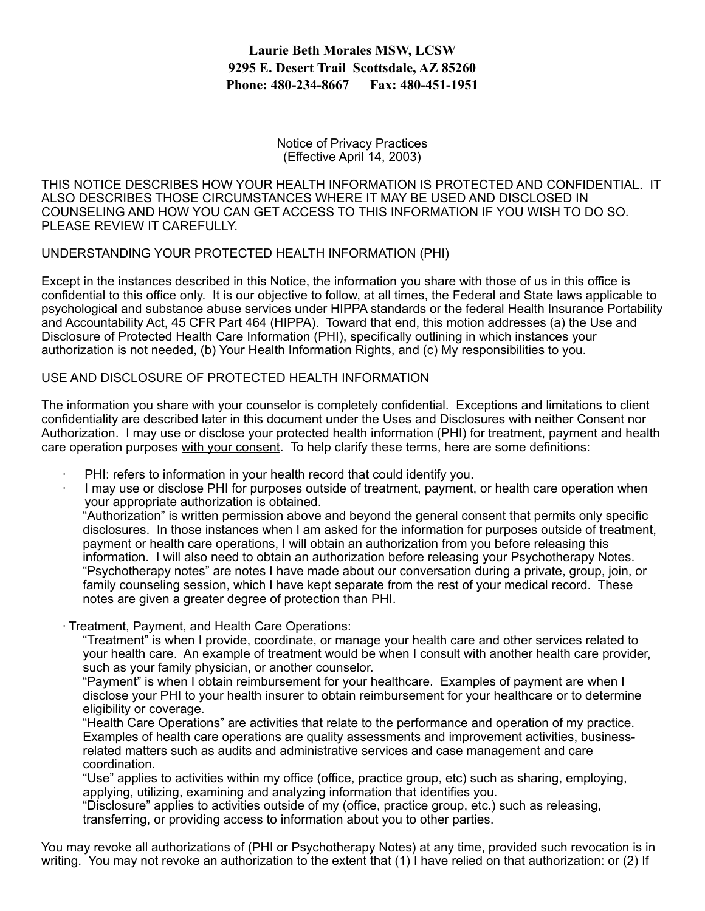## **Laurie Beth Morales MSW, LCSW 9295 E. Desert Trail Scottsdale, AZ 85260 Phone: 480-234-8667 Fax: 480-451-1951**

Notice of Privacy Practices (Effective April 14, 2003)

THIS NOTICE DESCRIBES HOW YOUR HEALTH INFORMATION IS PROTECTED AND CONFIDENTIAL. IT ALSO DESCRIBES THOSE CIRCUMSTANCES WHERE IT MAY BE USED AND DISCLOSED IN COUNSELING AND HOW YOU CAN GET ACCESS TO THIS INFORMATION IF YOU WISH TO DO SO. PLEASE REVIEW IT CAREFULLY.

UNDERSTANDING YOUR PROTECTED HEALTH INFORMATION (PHI)

Except in the instances described in this Notice, the information you share with those of us in this office is confidential to this office only. It is our objective to follow, at all times, the Federal and State laws applicable to psychological and substance abuse services under HIPPA standards or the federal Health Insurance Portability and Accountability Act, 45 CFR Part 464 (HIPPA). Toward that end, this motion addresses (a) the Use and Disclosure of Protected Health Care Information (PHI), specifically outlining in which instances your authorization is not needed, (b) Your Health Information Rights, and (c) My responsibilities to you.

## USE AND DISCLOSURE OF PROTECTED HEALTH INFORMATION

The information you share with your counselor is completely confidential. Exceptions and limitations to client confidentiality are described later in this document under the Uses and Disclosures with neither Consent nor Authorization. I may use or disclose your protected health information (PHI) for treatment, payment and health care operation purposes with your consent. To help clarify these terms, here are some definitions:

- PHI: refers to information in your health record that could identify you.
- · I may use or disclose PHI for purposes outside of treatment, payment, or health care operation when your appropriate authorization is obtained.

"Authorization" is written permission above and beyond the general consent that permits only specific disclosures. In those instances when I am asked for the information for purposes outside of treatment, payment or health care operations, I will obtain an authorization from you before releasing this information. I will also need to obtain an authorization before releasing your Psychotherapy Notes. "Psychotherapy notes" are notes I have made about our conversation during a private, group, join, or family counseling session, which I have kept separate from the rest of your medical record. These notes are given a greater degree of protection than PHI.

· Treatment, Payment, and Health Care Operations:

"Treatment" is when I provide, coordinate, or manage your health care and other services related to your health care. An example of treatment would be when I consult with another health care provider, such as your family physician, or another counselor.

"Payment" is when I obtain reimbursement for your healthcare. Examples of payment are when I disclose your PHI to your health insurer to obtain reimbursement for your healthcare or to determine eligibility or coverage.

"Health Care Operations" are activities that relate to the performance and operation of my practice. Examples of health care operations are quality assessments and improvement activities, businessrelated matters such as audits and administrative services and case management and care coordination.

"Use" applies to activities within my office (office, practice group, etc) such as sharing, employing, applying, utilizing, examining and analyzing information that identifies you.

"Disclosure" applies to activities outside of my (office, practice group, etc.) such as releasing, transferring, or providing access to information about you to other parties.

You may revoke all authorizations of (PHI or Psychotherapy Notes) at any time, provided such revocation is in writing. You may not revoke an authorization to the extent that (1) I have relied on that authorization: or (2) If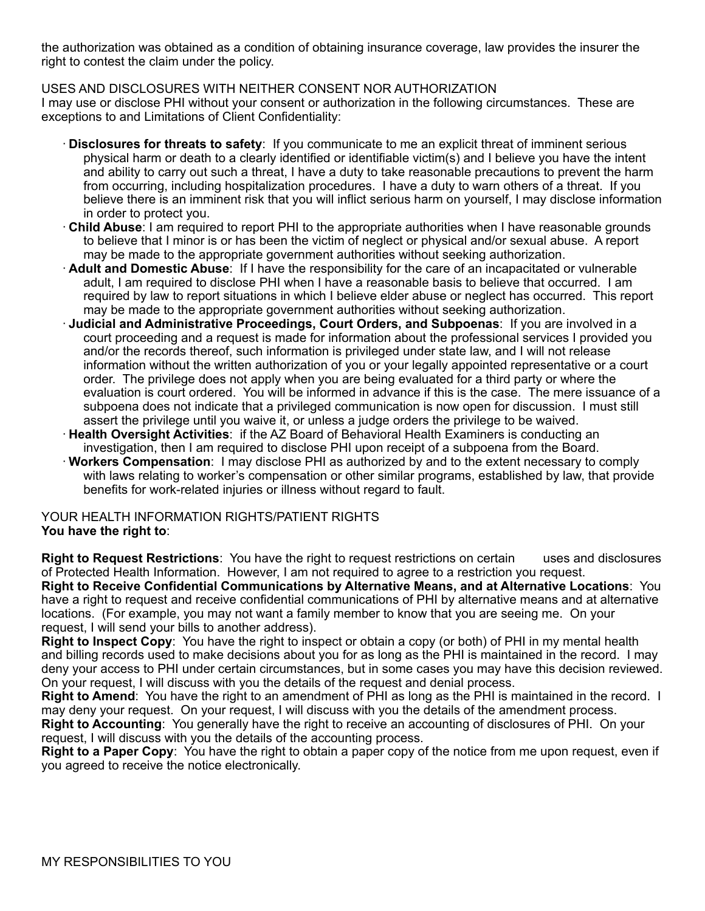the authorization was obtained as a condition of obtaining insurance coverage, law provides the insurer the right to contest the claim under the policy.

USES AND DISCLOSURES WITH NEITHER CONSENT NOR AUTHORIZATION I may use or disclose PHI without your consent or authorization in the following circumstances. These are exceptions to and Limitations of Client Confidentiality:

- · **Disclosures for threats to safety**: If you communicate to me an explicit threat of imminent serious physical harm or death to a clearly identified or identifiable victim(s) and I believe you have the intent and ability to carry out such a threat, I have a duty to take reasonable precautions to prevent the harm from occurring, including hospitalization procedures. I have a duty to warn others of a threat. If you believe there is an imminent risk that you will inflict serious harm on yourself, I may disclose information in order to protect you.
- · **Child Abuse**: I am required to report PHI to the appropriate authorities when I have reasonable grounds to believe that I minor is or has been the victim of neglect or physical and/or sexual abuse. A report may be made to the appropriate government authorities without seeking authorization.
- · **Adult and Domestic Abuse**: If I have the responsibility for the care of an incapacitated or vulnerable adult, I am required to disclose PHI when I have a reasonable basis to believe that occurred. I am required by law to report situations in which I believe elder abuse or neglect has occurred. This report may be made to the appropriate government authorities without seeking authorization.
- · **Judicial and Administrative Proceedings, Court Orders, and Subpoenas**: If you are involved in a court proceeding and a request is made for information about the professional services I provided you and/or the records thereof, such information is privileged under state law, and I will not release information without the written authorization of you or your legally appointed representative or a court order. The privilege does not apply when you are being evaluated for a third party or where the evaluation is court ordered. You will be informed in advance if this is the case. The mere issuance of a subpoena does not indicate that a privileged communication is now open for discussion. I must still assert the privilege until you waive it, or unless a judge orders the privilege to be waived.
- · **Health Oversight Activities**: if the AZ Board of Behavioral Health Examiners is conducting an investigation, then I am required to disclose PHI upon receipt of a subpoena from the Board.
- · **Workers Compensation**: I may disclose PHI as authorized by and to the extent necessary to comply with laws relating to worker's compensation or other similar programs, established by law, that provide benefits for work-related injuries or illness without regard to fault.

YOUR HEALTH INFORMATION RIGHTS/PATIENT RIGHTS **You have the right to**:

**Right to Request Restrictions**: You have the right to request restrictions on certain uses and disclosures of Protected Health Information. However, I am not required to agree to a restriction you request. **Right to Receive Confidential Communications by Alternative Means, and at Alternative Locations**: You have a right to request and receive confidential communications of PHI by alternative means and at alternative locations. (For example, you may not want a family member to know that you are seeing me. On your request, I will send your bills to another address).

**Right to Inspect Copy**: You have the right to inspect or obtain a copy (or both) of PHI in my mental health and billing records used to make decisions about you for as long as the PHI is maintained in the record. I may deny your access to PHI under certain circumstances, but in some cases you may have this decision reviewed. On your request, I will discuss with you the details of the request and denial process.

**Right to Amend**: You have the right to an amendment of PHI as long as the PHI is maintained in the record. I may deny your request. On your request, I will discuss with you the details of the amendment process.

**Right to Accounting**: You generally have the right to receive an accounting of disclosures of PHI. On your request, I will discuss with you the details of the accounting process.

**Right to a Paper Copy**: You have the right to obtain a paper copy of the notice from me upon request, even if you agreed to receive the notice electronically.